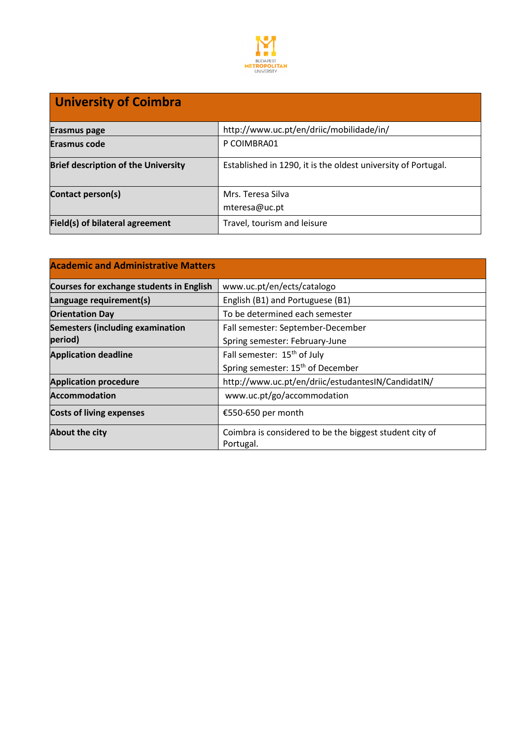

## **University of Coimbra**

| <b>Erasmus page</b>                        | http://www.uc.pt/en/driic/mobilidade/in/                      |
|--------------------------------------------|---------------------------------------------------------------|
| Erasmus code                               | P COIMBRA01                                                   |
| <b>Brief description of the University</b> | Established in 1290, it is the oldest university of Portugal. |
| Contact person(s)                          | Mrs. Teresa Silva<br>mteresa@uc.pt                            |
| Field(s) of bilateral agreement            | Travel, tourism and leisure                                   |

| <b>Academic and Administrative Matters</b>      |                                                                      |  |
|-------------------------------------------------|----------------------------------------------------------------------|--|
| <b>Courses for exchange students in English</b> | www.uc.pt/en/ects/catalogo                                           |  |
| Language requirement(s)                         | English (B1) and Portuguese (B1)                                     |  |
| <b>Orientation Day</b>                          | To be determined each semester                                       |  |
| <b>Semesters (including examination</b>         | Fall semester: September-December                                    |  |
| period)                                         | Spring semester: February-June                                       |  |
| <b>Application deadline</b>                     | Fall semester: 15 <sup>th</sup> of July                              |  |
|                                                 | Spring semester: 15 <sup>th</sup> of December                        |  |
| <b>Application procedure</b>                    | http://www.uc.pt/en/driic/estudantesIN/CandidatIN/                   |  |
| <b>Accommodation</b>                            | www.uc.pt/go/accommodation                                           |  |
| <b>Costs of living expenses</b>                 | €550-650 per month                                                   |  |
| <b>About the city</b>                           | Coimbra is considered to be the biggest student city of<br>Portugal. |  |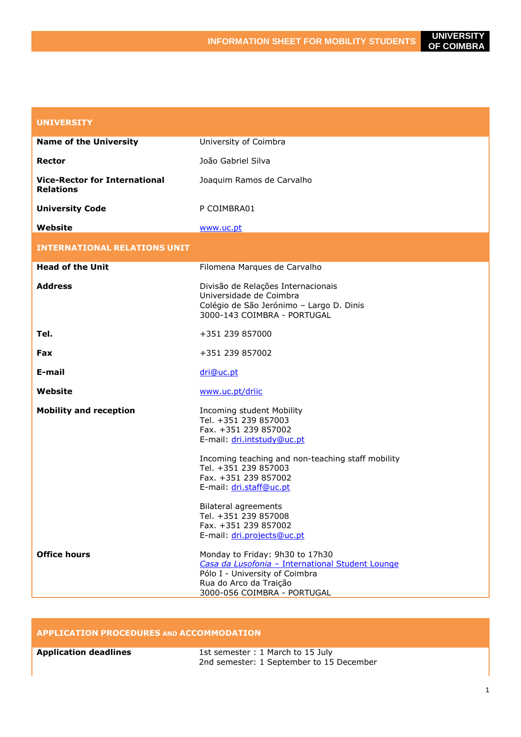| <b>UNIVERSITY</b>                                        |                                                                                                                                                                                                                                                                                                |
|----------------------------------------------------------|------------------------------------------------------------------------------------------------------------------------------------------------------------------------------------------------------------------------------------------------------------------------------------------------|
| <b>Name of the University</b>                            | University of Coimbra                                                                                                                                                                                                                                                                          |
| Rector                                                   | João Gabriel Silva                                                                                                                                                                                                                                                                             |
| <b>Vice-Rector for International</b><br><b>Relations</b> | Joaquim Ramos de Carvalho                                                                                                                                                                                                                                                                      |
| <b>University Code</b>                                   | P COIMBRA01                                                                                                                                                                                                                                                                                    |
| Website                                                  | www.uc.pt                                                                                                                                                                                                                                                                                      |
| <b>INTERNATIONAL RELATIONS UNIT</b>                      |                                                                                                                                                                                                                                                                                                |
| <b>Head of the Unit</b>                                  | Filomena Marques de Carvalho                                                                                                                                                                                                                                                                   |
| <b>Address</b>                                           | Divisão de Relações Internacionais<br>Universidade de Coimbra<br>Colégio de São Jerónimo - Largo D. Dinis<br>3000-143 COIMBRA - PORTUGAL                                                                                                                                                       |
| Tel.                                                     | +351 239 857000                                                                                                                                                                                                                                                                                |
| Fax                                                      | +351 239 857002                                                                                                                                                                                                                                                                                |
| E-mail                                                   | dri@uc.pt                                                                                                                                                                                                                                                                                      |
| Website                                                  | www.uc.pt/driic                                                                                                                                                                                                                                                                                |
| <b>Mobility and reception</b>                            | Incoming student Mobility<br>Tel. +351 239 857003<br>Fax. +351 239 857002<br>E-mail: dri.intstudy@uc.pt<br>Incoming teaching and non-teaching staff mobility<br>Tel. +351 239 857003<br>Fax. +351 239 857002<br>E-mail: dri.staff@uc.pt<br><b>Bilateral agreements</b><br>Tel. +351 239 857008 |
|                                                          | Fax. +351 239 857002<br>E-mail: dri.projects@uc.pt                                                                                                                                                                                                                                             |
| <b>Office hours</b>                                      | Monday to Friday: 9h30 to 17h30<br>Casa da Lusofonia - International Student Lounge<br>Pólo I - University of Coimbra<br>Rua do Arco da Traição<br>3000-056 COIMBRA - PORTUGAL                                                                                                                 |

## **APPLICATION PROCEDURES AND ACCOMMODATION**

| <b>Application deadlines</b> | 1st semester: 1 March to 15 July         |
|------------------------------|------------------------------------------|
|                              | 2nd semester: 1 September to 15 December |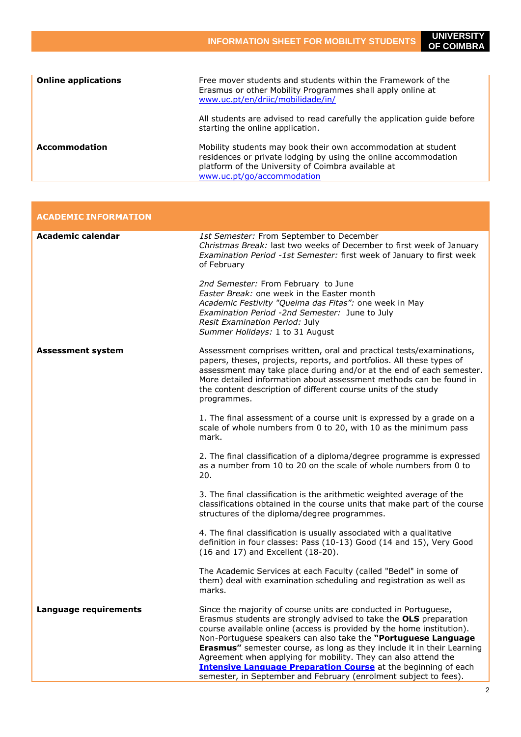| <b>Online applications</b> | Free mover students and students within the Framework of the<br>Erasmus or other Mobility Programmes shall apply online at<br>www.uc.pt/en/driic/mobilidade/in/                                                      |
|----------------------------|----------------------------------------------------------------------------------------------------------------------------------------------------------------------------------------------------------------------|
|                            | All students are advised to read carefully the application guide before<br>starting the online application.                                                                                                          |
| Accommodation              | Mobility students may book their own accommodation at student<br>residences or private lodging by using the online accommodation<br>platform of the University of Coimbra available at<br>www.uc.pt/go/accommodation |

| <b>ACADEMIC INFORMATION</b> |                                                                                                                                                                                                                                                                                                                                                                                                                                                                                                                                                                                 |
|-----------------------------|---------------------------------------------------------------------------------------------------------------------------------------------------------------------------------------------------------------------------------------------------------------------------------------------------------------------------------------------------------------------------------------------------------------------------------------------------------------------------------------------------------------------------------------------------------------------------------|
| <b>Academic calendar</b>    | 1st Semester: From September to December<br>Christmas Break: last two weeks of December to first week of January<br>Examination Period -1st Semester: first week of January to first week<br>of February                                                                                                                                                                                                                                                                                                                                                                        |
|                             | 2nd Semester: From February to June<br>Easter Break: one week in the Easter month<br>Academic Festivity "Queima das Fitas": one week in May<br>Examination Period -2nd Semester: June to July<br>Resit Examination Period: July<br>Summer Holidays: 1 to 31 August                                                                                                                                                                                                                                                                                                              |
| <b>Assessment system</b>    | Assessment comprises written, oral and practical tests/examinations,<br>papers, theses, projects, reports, and portfolios. All these types of<br>assessment may take place during and/or at the end of each semester.<br>More detailed information about assessment methods can be found in<br>the content description of different course units of the study<br>programmes.                                                                                                                                                                                                    |
|                             | 1. The final assessment of a course unit is expressed by a grade on a<br>scale of whole numbers from 0 to 20, with 10 as the minimum pass<br>mark.                                                                                                                                                                                                                                                                                                                                                                                                                              |
|                             | 2. The final classification of a diploma/degree programme is expressed<br>as a number from 10 to 20 on the scale of whole numbers from 0 to<br>20.                                                                                                                                                                                                                                                                                                                                                                                                                              |
|                             | 3. The final classification is the arithmetic weighted average of the<br>classifications obtained in the course units that make part of the course<br>structures of the diploma/degree programmes.                                                                                                                                                                                                                                                                                                                                                                              |
|                             | 4. The final classification is usually associated with a qualitative<br>definition in four classes: Pass (10-13) Good (14 and 15), Very Good<br>(16 and 17) and Excellent (18-20).                                                                                                                                                                                                                                                                                                                                                                                              |
|                             | The Academic Services at each Faculty (called "Bedel" in some of<br>them) deal with examination scheduling and registration as well as<br>marks.                                                                                                                                                                                                                                                                                                                                                                                                                                |
| Language requirements       | Since the majority of course units are conducted in Portuguese,<br>Erasmus students are strongly advised to take the OLS preparation<br>course available online (access is provided by the home institution).<br>Non-Portuguese speakers can also take the "Portuguese Language<br><b>Erasmus"</b> semester course, as long as they include it in their Learning<br>Agreement when applying for mobility. They can also attend the<br><b>Intensive Language Preparation Course</b> at the beginning of each<br>semester, in September and February (enrolment subject to fees). |